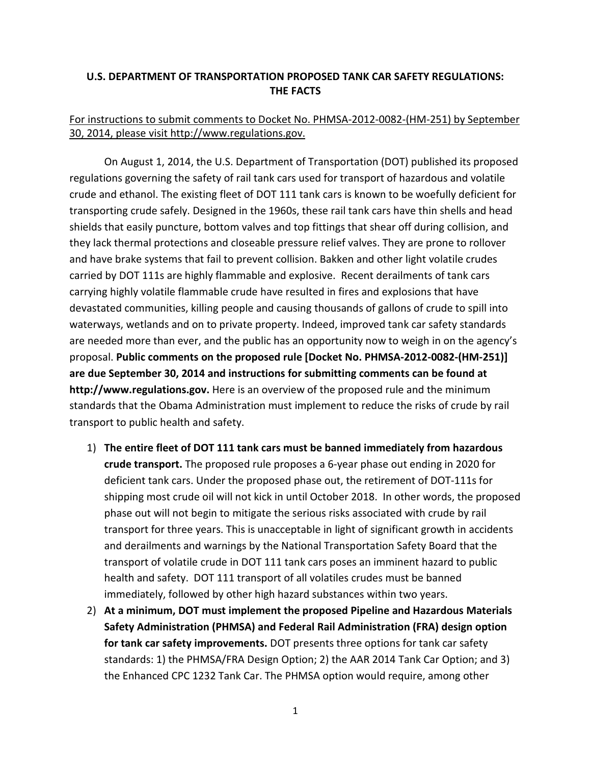## **U.S. DEPARTMENT OF TRANSPORTATION PROPOSED TANK CAR SAFETY REGULATIONS: THE FACTS**

## For instructions to submit comments to Docket No. PHMSA-2012-0082-(HM-251) by September 30, 2014, please visit http://www.regulations.gov.

On August 1, 2014, the U.S. Department of Transportation (DOT) published its proposed regulations governing the safety of rail tank cars used for transport of hazardous and volatile crude and ethanol. The existing fleet of DOT 111 tank cars is known to be woefully deficient for transporting crude safely. Designed in the 1960s, these rail tank cars have thin shells and head shields that easily puncture, bottom valves and top fittings that shear off during collision, and they lack thermal protections and closeable pressure relief valves. They are prone to rollover and have brake systems that fail to prevent collision. Bakken and other light volatile crudes carried by DOT 111s are highly flammable and explosive. Recent derailments of tank cars carrying highly volatile flammable crude have resulted in fires and explosions that have devastated communities, killing people and causing thousands of gallons of crude to spill into waterways, wetlands and on to private property. Indeed, improved tank car safety standards are needed more than ever, and the public has an opportunity now to weigh in on the agency's proposal. **Public comments on the proposed rule [Docket No. PHMSA-2012-0082-(HM-251)] are due September 30, 2014 and instructions for submitting comments can be found at http://www.regulations.gov.** Here is an overview of the proposed rule and the minimum standards that the Obama Administration must implement to reduce the risks of crude by rail transport to public health and safety.

- 1) **The entire fleet of DOT 111 tank cars must be banned immediately from hazardous crude transport.** The proposed rule proposes a 6-year phase out ending in 2020 for deficient tank cars. Under the proposed phase out, the retirement of DOT-111s for shipping most crude oil will not kick in until October 2018. In other words, the proposed phase out will not begin to mitigate the serious risks associated with crude by rail transport for three years. This is unacceptable in light of significant growth in accidents and derailments and warnings by the National Transportation Safety Board that the transport of volatile crude in DOT 111 tank cars poses an imminent hazard to public health and safety. DOT 111 transport of all volatiles crudes must be banned immediately, followed by other high hazard substances within two years.
- 2) **At a minimum, DOT must implement the proposed Pipeline and Hazardous Materials Safety Administration (PHMSA) and Federal Rail Administration (FRA) design option for tank car safety improvements.** DOT presents three options for tank car safety standards: 1) the PHMSA/FRA Design Option; 2) the AAR 2014 Tank Car Option; and 3) the Enhanced CPC 1232 Tank Car. The PHMSA option would require, among other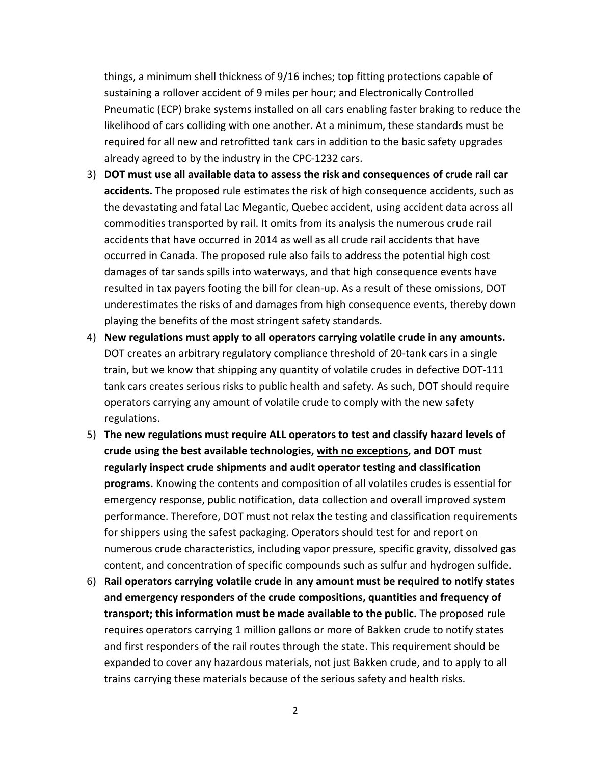things, a minimum shell thickness of 9/16 inches; top fitting protections capable of sustaining a rollover accident of 9 miles per hour; and Electronically Controlled Pneumatic (ECP) brake systems installed on all cars enabling faster braking to reduce the likelihood of cars colliding with one another. At a minimum, these standards must be required for all new and retrofitted tank cars in addition to the basic safety upgrades already agreed to by the industry in the CPC-1232 cars.

- 3) **DOT must use all available data to assess the risk and consequences of crude rail car accidents.** The proposed rule estimates the risk of high consequence accidents, such as the devastating and fatal Lac Megantic, Quebec accident, using accident data across all commodities transported by rail. It omits from its analysis the numerous crude rail accidents that have occurred in 2014 as well as all crude rail accidents that have occurred in Canada. The proposed rule also fails to address the potential high cost damages of tar sands spills into waterways, and that high consequence events have resulted in tax payers footing the bill for clean-up. As a result of these omissions, DOT underestimates the risks of and damages from high consequence events, thereby down playing the benefits of the most stringent safety standards.
- 4) **New regulations must apply to all operators carrying volatile crude in any amounts.**  DOT creates an arbitrary regulatory compliance threshold of 20-tank cars in a single train, but we know that shipping any quantity of volatile crudes in defective DOT-111 tank cars creates serious risks to public health and safety. As such, DOT should require operators carrying any amount of volatile crude to comply with the new safety regulations.
- 5) **The new regulations must require ALL operators to test and classify hazard levels of crude using the best available technologies, with no exceptions, and DOT must regularly inspect crude shipments and audit operator testing and classification programs.** Knowing the contents and composition of all volatiles crudes is essential for emergency response, public notification, data collection and overall improved system performance. Therefore, DOT must not relax the testing and classification requirements for shippers using the safest packaging. Operators should test for and report on numerous crude characteristics, including vapor pressure, specific gravity, dissolved gas content, and concentration of specific compounds such as sulfur and hydrogen sulfide.
- 6) **Rail operators carrying volatile crude in any amount must be required to notify states and emergency responders of the crude compositions, quantities and frequency of transport; this information must be made available to the public.** The proposed rule requires operators carrying 1 million gallons or more of Bakken crude to notify states and first responders of the rail routes through the state. This requirement should be expanded to cover any hazardous materials, not just Bakken crude, and to apply to all trains carrying these materials because of the serious safety and health risks.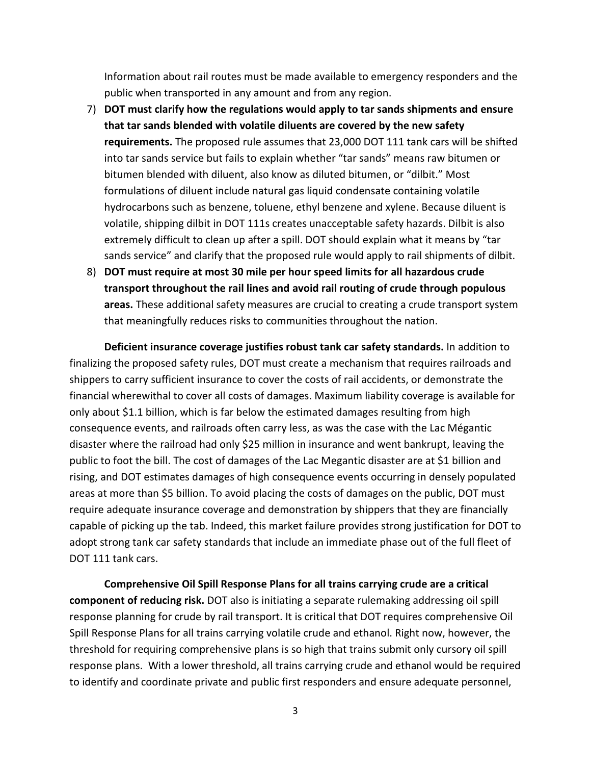Information about rail routes must be made available to emergency responders and the public when transported in any amount and from any region.

- 7) **DOT must clarify how the regulations would apply to tar sands shipments and ensure that tar sands blended with volatile diluents are covered by the new safety requirements.** The proposed rule assumes that 23,000 DOT 111 tank cars will be shifted into tar sands service but fails to explain whether "tar sands" means raw bitumen or bitumen blended with diluent, also know as diluted bitumen, or "dilbit." Most formulations of diluent include natural gas liquid condensate containing volatile hydrocarbons such as benzene, toluene, ethyl benzene and xylene. Because diluent is volatile, shipping dilbit in DOT 111s creates unacceptable safety hazards. Dilbit is also extremely difficult to clean up after a spill. DOT should explain what it means by "tar sands service" and clarify that the proposed rule would apply to rail shipments of dilbit.
- 8) **DOT must require at most 30 mile per hour speed limits for all hazardous crude transport throughout the rail lines and avoid rail routing of crude through populous areas.** These additional safety measures are crucial to creating a crude transport system that meaningfully reduces risks to communities throughout the nation.

**Deficient insurance coverage justifies robust tank car safety standards.** In addition to finalizing the proposed safety rules, DOT must create a mechanism that requires railroads and shippers to carry sufficient insurance to cover the costs of rail accidents, or demonstrate the financial wherewithal to cover all costs of damages. Maximum liability coverage is available for only about \$1.1 billion, which is far below the estimated damages resulting from high consequence events, and railroads often carry less, as was the case with the Lac Mégantic disaster where the railroad had only \$25 million in insurance and went bankrupt, leaving the public to foot the bill. The cost of damages of the Lac Megantic disaster are at \$1 billion and rising, and DOT estimates damages of high consequence events occurring in densely populated areas at more than \$5 billion. To avoid placing the costs of damages on the public, DOT must require adequate insurance coverage and demonstration by shippers that they are financially capable of picking up the tab. Indeed, this market failure provides strong justification for DOT to adopt strong tank car safety standards that include an immediate phase out of the full fleet of DOT 111 tank cars.

**Comprehensive Oil Spill Response Plans for all trains carrying crude are a critical component of reducing risk.** DOT also is initiating a separate rulemaking addressing oil spill response planning for crude by rail transport. It is critical that DOT requires comprehensive Oil Spill Response Plans for all trains carrying volatile crude and ethanol. Right now, however, the threshold for requiring comprehensive plans is so high that trains submit only cursory oil spill response plans. With a lower threshold, all trains carrying crude and ethanol would be required to identify and coordinate private and public first responders and ensure adequate personnel,